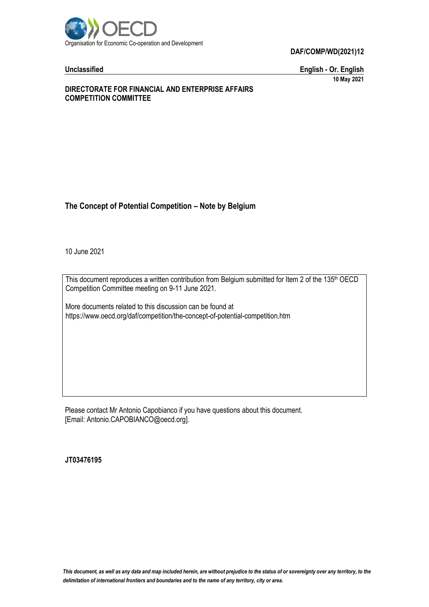

**DAF/COMP/WD(2021)12**

**Unclassified English - Or. English 10 May 2021**

#### **DIRECTORATE FOR FINANCIAL AND ENTERPRISE AFFAIRS COMPETITION COMMITTEE**

# **The Concept of Potential Competition – Note by Belgium**

10 June 2021

This document reproduces a written contribution from Belgium submitted for Item 2 of the 135<sup>th</sup> OECD Competition Committee meeting on 9-11 June 2021.

More documents related to this discussion can be found at https://www.oecd.org/daf/competition/the-concept-of-potential-competition.htm

Please contact Mr Antonio Capobianco if you have questions about this document. [Email: Antonio.CAPOBIANCO@oecd.org].

**JT03476195**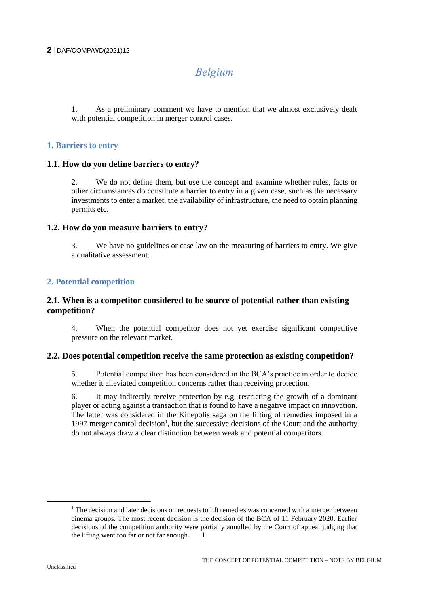#### **2** DAF/COMP/WD(2021)12

# *Belgium*

1. As a preliminary comment we have to mention that we almost exclusively dealt with potential competition in merger control cases.

#### **1. Barriers to entry**

#### **1.1. How do you define barriers to entry?**

2. We do not define them, but use the concept and examine whether rules, facts or other circumstances do constitute a barrier to entry in a given case, such as the necessary investments to enter a market, the availability of infrastructure, the need to obtain planning permits etc.

#### **1.2. How do you measure barriers to entry?**

3. We have no guidelines or case law on the measuring of barriers to entry. We give a qualitative assessment.

# **2. Potential competition**

#### **2.1. When is a competitor considered to be source of potential rather than existing competition?**

4. When the potential competitor does not yet exercise significant competitive pressure on the relevant market.

#### **2.2. Does potential competition receive the same protection as existing competition?**

5. Potential competition has been considered in the BCA's practice in order to decide whether it alleviated competition concerns rather than receiving protection.

6. It may indirectly receive protection by e.g. restricting the growth of a dominant player or acting against a transaction that is found to have a negative impact on innovation. The latter was considered in the Kinepolis saga on the lifting of remedies imposed in a 1997 merger control decision<sup>1</sup>, but the successive decisions of the Court and the authority do not always draw a clear distinction between weak and potential competitors.

 $<sup>1</sup>$  The decision and later decisions on requests to lift remedies was concerned with a merger between</sup> cinema groups. The most recent decision is the decision of the BCA of 11 February 2020. Earlier decisions of the competition authority were partially annulled by the Court of appeal judging that the lifting went too far or not far enough.  $\overline{\phantom{a}}$  1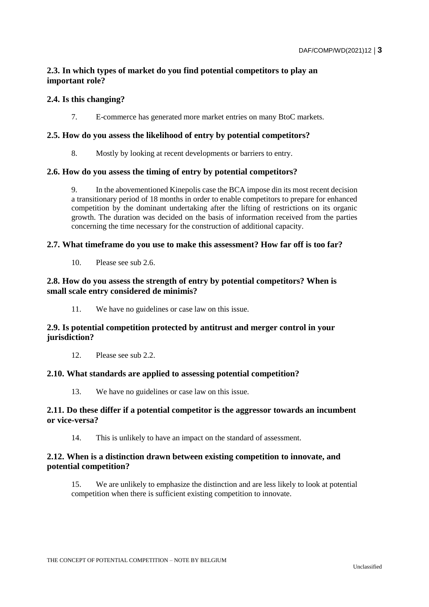# **2.3. In which types of market do you find potential competitors to play an important role?**

#### **2.4. Is this changing?**

7. E-commerce has generated more market entries on many BtoC markets.

#### **2.5. How do you assess the likelihood of entry by potential competitors?**

8. Mostly by looking at recent developments or barriers to entry.

#### **2.6. How do you assess the timing of entry by potential competitors?**

9. In the abovementioned Kinepolis case the BCA impose din its most recent decision a transitionary period of 18 months in order to enable competitors to prepare for enhanced competition by the dominant undertaking after the lifting of restrictions on its organic growth. The duration was decided on the basis of information received from the parties concerning the time necessary for the construction of additional capacity.

#### **2.7. What timeframe do you use to make this assessment? How far off is too far?**

10. Please see sub 2.6.

## **2.8. How do you assess the strength of entry by potential competitors? When is small scale entry considered de minimis?**

11. We have no guidelines or case law on this issue.

# **2.9. Is potential competition protected by antitrust and merger control in your jurisdiction?**

12. Please see sub 2.2.

#### **2.10. What standards are applied to assessing potential competition?**

13. We have no guidelines or case law on this issue.

#### **2.11. Do these differ if a potential competitor is the aggressor towards an incumbent or vice-versa?**

14. This is unlikely to have an impact on the standard of assessment.

# **2.12. When is a distinction drawn between existing competition to innovate, and potential competition?**

15. We are unlikely to emphasize the distinction and are less likely to look at potential competition when there is sufficient existing competition to innovate.